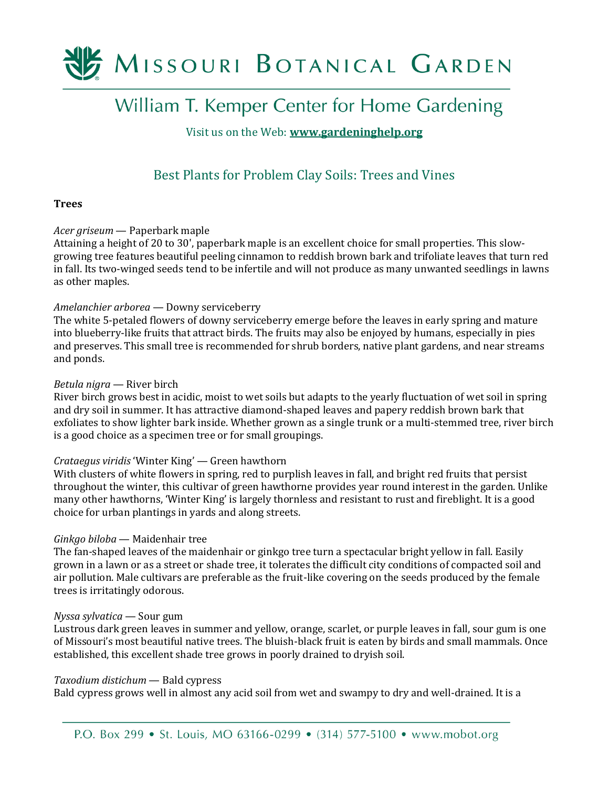

# William T. Kemper Center for Home Gardening

# Visit us on the Web: **[www.gardeninghelp.org](http://www.gardeninghelp.org/)**

# Best Plants for Problem Clay Soils: Trees and Vines

# **Trees**

# *Acer griseum* — Paperbark maple

Attaining a height of 20 to 30', paperbark maple is an excellent choice for small properties. This slowgrowing tree features beautiful peeling cinnamon to reddish brown bark and trifoliate leaves that turn red in fall. Its two-winged seeds tend to be infertile and will not produce as many unwanted seedlings in lawns as other maples.

# *Amelanchier arborea* — Downy serviceberry

The white 5-petaled flowers of downy serviceberry emerge before the leaves in early spring and mature into blueberry-like fruits that attract birds. The fruits may also be enjoyed by humans, especially in pies and preserves. This small tree is recommended for shrub borders, native plant gardens, and near streams and ponds.

# *Betula nigra* — River birch

River birch grows best in acidic, moist to wet soils but adapts to the yearly fluctuation of wet soil in spring and dry soil in summer. It has attractive diamond-shaped leaves and papery reddish brown bark that exfoliates to show lighter bark inside. Whether grown as a single trunk or a multi-stemmed tree, river birch is a good choice as a specimen tree or for small groupings.

# *Crataegus viridis* 'Winter King' — Green hawthorn

With clusters of white flowers in spring, red to purplish leaves in fall, and bright red fruits that persist throughout the winter, this cultivar of green hawthorne provides year round interest in the garden. Unlike many other hawthorns, 'Winter King' is largely thornless and resistant to rust and fireblight. It is a good choice for urban plantings in yards and along streets.

# *Ginkgo biloba* — Maidenhair tree

The fan-shaped leaves of the maidenhair or ginkgo tree turn a spectacular bright yellow in fall. Easily grown in a lawn or as a street or shade tree, it tolerates the difficult city conditions of compacted soil and air pollution. Male cultivars are preferable as the fruit-like covering on the seeds produced by the female trees is irritatingly odorous.

# *Nyssa sylvatica* — Sour gum

Lustrous dark green leaves in summer and yellow, orange, scarlet, or purple leaves in fall, sour gum is one of Missouri's most beautiful native trees. The bluish-black fruit is eaten by birds and small mammals. Once established, this excellent shade tree grows in poorly drained to dryish soil.

# *Taxodium distichum* — Bald cypress

Bald cypress grows well in almost any acid soil from wet and swampy to dry and well-drained. It is a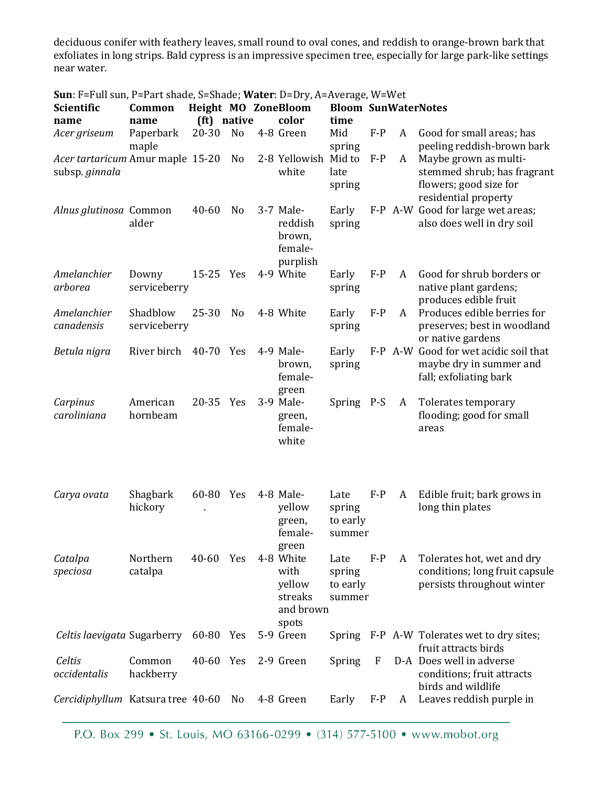deciduous conifer with feathery leaves, small round to oval cones, and reddish to orange-brown bark that exfoliates in long strips. Bald cypress is an impressive specimen tree, especially for large park-like settings near water.

| <b>Sun</b> : F=Full sun, P=Part shade, S=Shade; Water: D=Dry, A=Average, W=Wet |              |                     |                            |  |                      |            |       |   |                                                            |  |
|--------------------------------------------------------------------------------|--------------|---------------------|----------------------------|--|----------------------|------------|-------|---|------------------------------------------------------------|--|
| <b>Scientific</b>                                                              |              | Height MO ZoneBloom | <b>Bloom SunWaterNotes</b> |  |                      |            |       |   |                                                            |  |
| name                                                                           | name         | (ft) native         |                            |  | color                | time       |       |   |                                                            |  |
| Acer griseum                                                                   | Paperbark    | 20-30               | N <sub>o</sub>             |  | 4-8 Green            | Mid        | $F-P$ | A | Good for small areas; has                                  |  |
|                                                                                | maple        |                     |                            |  |                      | spring     |       |   | peeling reddish-brown bark                                 |  |
| Acer tartaricum Amur maple 15-20                                               |              |                     | No                         |  | 2-8 Yellowish Mid to |            | $F-P$ | A | Maybe grown as multi-                                      |  |
| subsp. ginnala                                                                 |              |                     |                            |  | white                | late       |       |   | stemmed shrub; has fragrant                                |  |
|                                                                                |              |                     |                            |  |                      | spring     |       |   | flowers; good size for                                     |  |
|                                                                                |              |                     |                            |  |                      |            |       |   | residential property                                       |  |
| Alnus glutinosa Common                                                         |              | 40-60               | N <sub>o</sub>             |  | 3-7 Male-            | Early      | $F-P$ |   | A-W Good for large wet areas;                              |  |
|                                                                                | alder        |                     |                            |  | reddish              | spring     |       |   | also does well in dry soil                                 |  |
|                                                                                |              |                     |                            |  | brown,               |            |       |   |                                                            |  |
|                                                                                |              |                     |                            |  | female-              |            |       |   |                                                            |  |
|                                                                                |              |                     |                            |  | purplish             |            |       |   |                                                            |  |
| Amelanchier                                                                    | Downy        | 15-25 Yes           |                            |  | 4-9 White            | Early      | $F-P$ | A | Good for shrub borders or                                  |  |
| arborea                                                                        | serviceberry |                     |                            |  |                      | spring     |       |   | native plant gardens;                                      |  |
|                                                                                |              |                     |                            |  |                      |            |       |   | produces edible fruit                                      |  |
| Amelanchier                                                                    | Shadblow     | $25 - 30$           | N <sub>0</sub>             |  | 4-8 White            | Early      | $F-P$ | A | Produces edible berries for                                |  |
| canadensis                                                                     | serviceberry |                     |                            |  |                      | spring     |       |   | preserves; best in woodland                                |  |
| Betula nigra                                                                   | River birch  | 40-70 Yes           |                            |  | 4-9 Male-            | Early      |       |   | or native gardens<br>F-P A-W Good for wet acidic soil that |  |
|                                                                                |              |                     |                            |  | brown,               | spring     |       |   | maybe dry in summer and                                    |  |
|                                                                                |              |                     |                            |  | female-              |            |       |   | fall; exfoliating bark                                     |  |
|                                                                                |              |                     |                            |  | green                |            |       |   |                                                            |  |
| Carpinus                                                                       | American     | $20 - 35$           | Yes                        |  | 3-9 Male-            | Spring P-S |       | A | Tolerates temporary                                        |  |
| caroliniana                                                                    | hornbeam     |                     |                            |  | green,               |            |       |   | flooding; good for small                                   |  |
|                                                                                |              |                     |                            |  | female-              |            |       |   | areas                                                      |  |
|                                                                                |              |                     |                            |  | white                |            |       |   |                                                            |  |
|                                                                                |              |                     |                            |  |                      |            |       |   |                                                            |  |
|                                                                                |              |                     |                            |  |                      |            |       |   |                                                            |  |
|                                                                                |              |                     |                            |  |                      |            |       |   |                                                            |  |
| Carya ovata                                                                    | Shagbark     | 60-80 Yes           |                            |  | 4-8 Male-            | Late       | $F-P$ | A | Edible fruit; bark grows in                                |  |
|                                                                                | hickory      |                     |                            |  | yellow               | spring     |       |   | long thin plates                                           |  |
|                                                                                |              |                     |                            |  | green,               | to early   |       |   |                                                            |  |
|                                                                                |              |                     |                            |  | female-              | summer     |       |   |                                                            |  |
|                                                                                |              |                     |                            |  | green                |            |       |   |                                                            |  |
| Catalpa                                                                        | Northern     | $40 - 60$           | Yes                        |  | 4-8 White            | Late       | $F-P$ | A | Tolerates hot, wet and dry                                 |  |
| speciosa                                                                       | catalpa      |                     |                            |  | with                 | spring     |       |   | conditions; long fruit capsule                             |  |
|                                                                                |              |                     |                            |  | yellow               | to early   |       |   | persists throughout winter                                 |  |
|                                                                                |              |                     |                            |  | streaks              | summer     |       |   |                                                            |  |
|                                                                                |              |                     |                            |  | and brown            |            |       |   |                                                            |  |
| Celtis laevigata Sugarberry                                                    |              | 60-80 Yes           |                            |  | spots<br>5-9 Green   | Spring     |       |   | F-P A-W Tolerates wet to dry sites;                        |  |
|                                                                                |              |                     |                            |  |                      |            |       |   | fruit attracts birds                                       |  |
| Celtis                                                                         | Common       | 40-60 Yes           |                            |  | 2-9 Green            | Spring     | F     |   | D-A Does well in adverse                                   |  |
| occidentalis                                                                   | hackberry    |                     |                            |  |                      |            |       |   | conditions; fruit attracts                                 |  |
|                                                                                |              |                     |                            |  |                      |            |       |   | birds and wildlife                                         |  |
| Cercidiphyllum Katsura tree 40-60                                              |              |                     | N <sub>0</sub>             |  | 4-8 Green            | Early      | $F-P$ | A | Leaves reddish purple in                                   |  |
|                                                                                |              |                     |                            |  |                      |            |       |   |                                                            |  |

P.O. Box 299 • St. Louis, MO 63166-0299 • (314) 577-5100 • www.mobot.org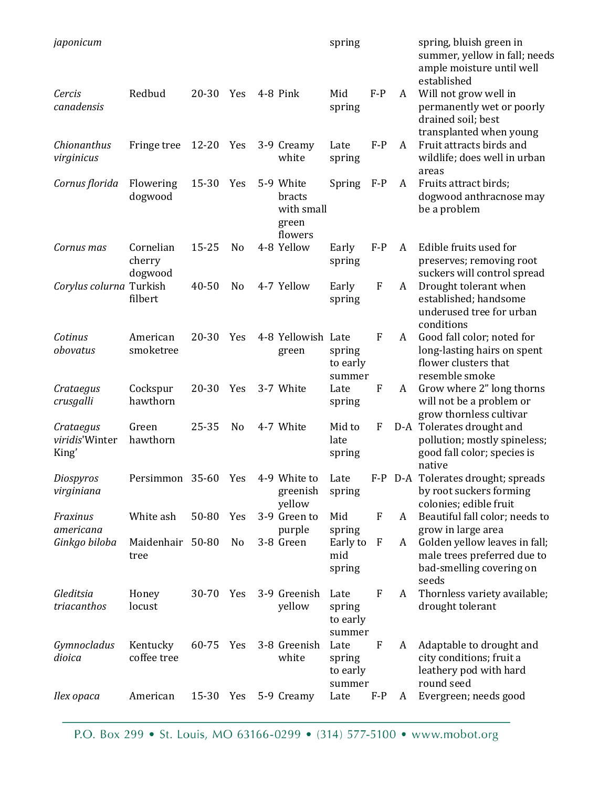| japonicum                            |                                |           |                |                                                       | spring                               |                           |         | spring, bluish green in<br>summer, yellow in fall; needs<br>ample moisture until well<br>established |
|--------------------------------------|--------------------------------|-----------|----------------|-------------------------------------------------------|--------------------------------------|---------------------------|---------|------------------------------------------------------------------------------------------------------|
| Cercis<br>canadensis                 | Redbud                         | $20 - 30$ | Yes            | 4-8 Pink                                              | Mid<br>spring                        | $F-P$                     | A       | Will not grow well in<br>permanently wet or poorly<br>drained soil; best<br>transplanted when young  |
| Chionanthus<br>virginicus            | Fringe tree                    | 12-20     | Yes            | 3-9 Creamy<br>white                                   | Late<br>spring                       | $F-P$                     | A       | Fruit attracts birds and<br>wildlife; does well in urban<br>areas                                    |
| Cornus florida                       | Flowering<br>dogwood           | 15-30     | Yes            | 5-9 White<br>bracts<br>with small<br>green<br>flowers | Spring                               | $F-P$                     | A       | Fruits attract birds;<br>dogwood anthracnose may<br>be a problem                                     |
| Cornus mas                           | Cornelian<br>cherry<br>dogwood | $15 - 25$ | No             | 4-8 Yellow                                            | Early<br>spring                      | $F-P$                     | A       | Edible fruits used for<br>preserves; removing root<br>suckers will control spread                    |
| Corylus colurna Turkish              | filbert                        | 40-50     | N <sub>0</sub> | 4-7 Yellow                                            | Early<br>spring                      | $\mathbf F$               | A       | Drought tolerant when<br>established; handsome<br>underused tree for urban<br>conditions             |
| Cotinus<br>obovatus                  | American<br>smoketree          | $20 - 30$ | Yes            | 4-8 Yellowish Late<br>green                           | spring<br>to early<br>summer         | $\boldsymbol{\mathrm{F}}$ | A       | Good fall color; noted for<br>long-lasting hairs on spent<br>flower clusters that<br>resemble smoke  |
| Crataegus<br>crusgalli               | Cockspur<br>hawthorn           | $20 - 30$ | Yes            | 3-7 White                                             | Late<br>spring                       | F                         | A       | Grow where 2" long thorns<br>will not be a problem or<br>grow thornless cultivar                     |
| Crataegus<br>viridis'Winter<br>King' | Green<br>hawthorn              | 25-35     | N <sub>0</sub> | 4-7 White                                             | Mid to<br>late<br>spring             | F                         |         | D-A Tolerates drought and<br>pollution; mostly spineless;<br>good fall color; species is<br>native   |
| Diospyros<br>virginiana              | Persimmon 35-60 Yes            |           |                | 4-9 White to<br>greenish<br>yellow                    | Late<br>spring                       |                           | F-P D-A | Tolerates drought; spreads<br>by root suckers forming<br>colonies; edible fruit                      |
| Fraxinus<br>americana                | White ash                      | 50-80     | Yes            | 3-9 Green to<br>purple                                | Mid<br>spring                        | $\boldsymbol{F}$          | A       | Beautiful fall color; needs to<br>grow in large area                                                 |
| Ginkgo biloba                        | Maidenhair 50-80<br>tree       |           | No             | 3-8 Green                                             | Early to<br>mid<br>spring            | $\mathbf F$               | A       | Golden yellow leaves in fall;<br>male trees preferred due to<br>bad-smelling covering on<br>seeds    |
| Gleditsia<br>triacanthos             | Honey<br>locust                | $30 - 70$ | Yes            | 3-9 Greenish<br>yellow                                | Late<br>spring<br>to early<br>summer | $\boldsymbol{F}$          | A       | Thornless variety available;<br>drought tolerant                                                     |
| Gymnocladus<br>dioica                | Kentucky<br>coffee tree        | 60-75 Yes |                | 3-8 Greenish<br>white                                 | Late<br>spring<br>to early<br>summer | $\mathbf F$               | A       | Adaptable to drought and<br>city conditions; fruit a<br>leathery pod with hard<br>round seed         |
| Ilex opaca                           | American                       | 15-30 Yes |                | 5-9 Creamy                                            | Late                                 | $F-P$                     | A       | Evergreen; needs good                                                                                |

P.O. Box 299 • St. Louis, MO 63166-0299 • (314) 577-5100 • www.mobot.org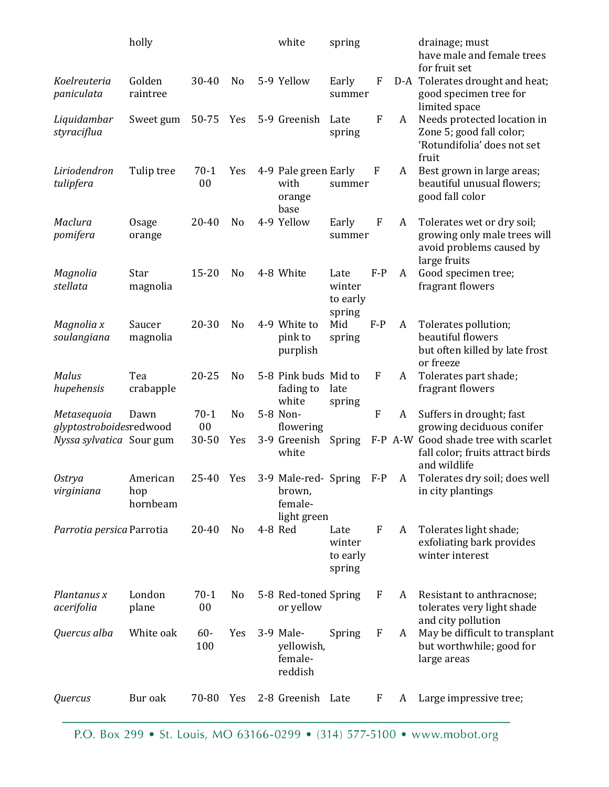|                                        | holly                       |               |                | white                                                        | spring                               |                  |   | drainage; must<br>have male and female trees<br>for fruit set                                          |
|----------------------------------------|-----------------------------|---------------|----------------|--------------------------------------------------------------|--------------------------------------|------------------|---|--------------------------------------------------------------------------------------------------------|
| Koelreuteria<br>paniculata             | Golden<br>raintree          | 30-40         | N <sub>0</sub> | 5-9 Yellow                                                   | Early<br>summer                      | F                |   | D-A Tolerates drought and heat;<br>good specimen tree for<br>limited space                             |
| Liquidambar<br>styraciflua             | Sweet gum                   | 50-75 Yes     |                | 5-9 Greenish                                                 | Late<br>spring                       | $\mathbf{F}$     | A | Needs protected location in<br>Zone 5; good fall color;<br>'Rotundifolia' does not set<br>fruit        |
| Liriodendron<br>tulipfera              | Tulip tree                  | $70-1$<br>00  | Yes            | 4-9 Pale green Early<br>with<br>orange<br>base               | summer                               | F                | A | Best grown in large areas;<br>beautiful unusual flowers;<br>good fall color                            |
| Maclura<br>pomifera                    | <b>Osage</b><br>orange      | 20-40         | N <sub>0</sub> | 4-9 Yellow                                                   | Early<br>summer                      | F                | A | Tolerates wet or dry soil;<br>growing only male trees will<br>avoid problems caused by<br>large fruits |
| Magnolia<br>stellata                   | Star<br>magnolia            | $15 - 20$     | N <sub>0</sub> | 4-8 White                                                    | Late<br>winter<br>to early<br>spring | $F-P$            | A | Good specimen tree;<br>fragrant flowers                                                                |
| Magnolia x<br>soulangiana              | Saucer<br>magnolia          | $20 - 30$     | N <sub>o</sub> | 4-9 White to<br>pink to<br>purplish                          | Mid<br>spring                        | $F-P$            | A | Tolerates pollution;<br>beautiful flowers<br>but often killed by late frost<br>or freeze               |
| Malus<br>hupehensis                    | Tea<br>crabapple            | $20 - 25$     | No             | 5-8 Pink buds Mid to<br>fading to<br>white                   | late<br>spring                       | F                | A | Tolerates part shade;<br>fragrant flowers                                                              |
| Metasequoia<br>glyptostroboidesredwood | Dawn                        | $70-1$<br>00  | N <sub>o</sub> | 5-8 Non-<br>flowering                                        |                                      | $\boldsymbol{F}$ | A | Suffers in drought; fast<br>growing deciduous conifer                                                  |
| Nyssa sylvatica Sour gum               |                             | 30-50         | Yes            | 3-9 Greenish<br>white                                        | Spring                               |                  |   | F-P A-W Good shade tree with scarlet<br>fall color; fruits attract birds<br>and wildlife               |
| <b>Ostrya</b><br>virginiana            | American<br>hop<br>hornbeam | 25-40         | Yes            | 3-9 Male-red- Spring F-P<br>brown,<br>female-<br>light green |                                      |                  | A | Tolerates dry soil; does well<br>in city plantings                                                     |
| Parrotia persica Parrotia              |                             | 20-40         | N <sub>0</sub> | 4-8 Red                                                      | Late<br>winter<br>to early<br>spring | F                | A | Tolerates light shade;<br>exfoliating bark provides<br>winter interest                                 |
| Plantanus x<br>acerifolia              | London<br>plane             | $70-1$<br>00  | N <sub>0</sub> | 5-8 Red-toned Spring<br>or yellow                            |                                      | F                | A | Resistant to anthracnose;<br>tolerates very light shade<br>and city pollution                          |
| Quercus alba                           | White oak                   | $60 -$<br>100 | Yes            | 3-9 Male-<br>yellowish,<br>female-<br>reddish                | Spring                               | F                | A | May be difficult to transplant<br>but worthwhile; good for<br>large areas                              |
| Quercus                                | Bur oak                     | 70-80         | Yes            | 2-8 Greenish Late                                            |                                      | F                | A | Large impressive tree;                                                                                 |

P.O. Box 299 • St. Louis, MO 63166-0299 • (314) 577-5100 • www.mobot.org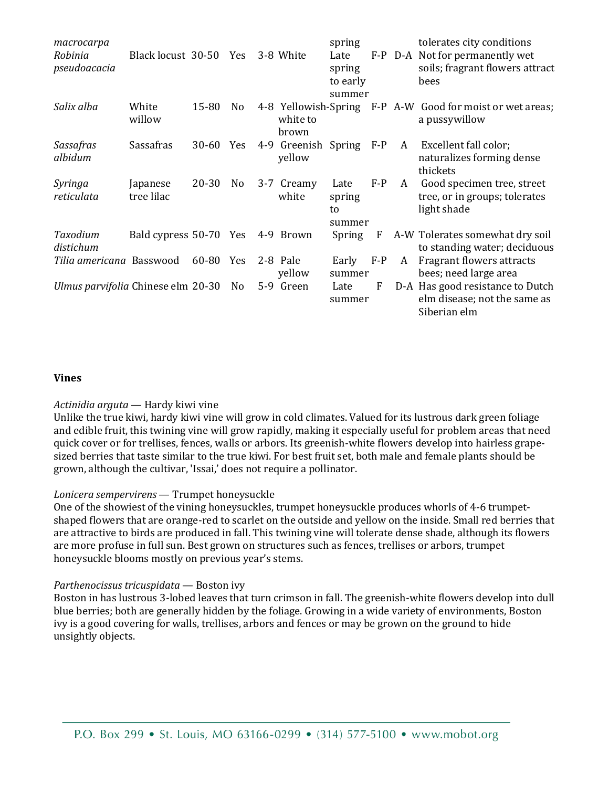| macrocarpa<br>Robinia<br>pseudoacacia | Black locust 30-50     |           | Yes            |       | 3-8 White                                 | spring<br>Late<br>spring<br>to early<br>summer |       |   | tolerates city conditions<br>F-P D-A Not for permanently wet<br>soils; fragrant flowers attract<br>bees |
|---------------------------------------|------------------------|-----------|----------------|-------|-------------------------------------------|------------------------------------------------|-------|---|---------------------------------------------------------------------------------------------------------|
| Salix alba                            | White<br>willow        | 15-80     | No.            |       | 4-8 Yellowish-Spring<br>white to<br>brown |                                                |       |   | F-P A-W Good for moist or wet areas;<br>a pussywillow                                                   |
| Sassafras<br>albidum                  | Sassafras              | $30 - 60$ | Yes            | $4-9$ | Greenish<br>yellow                        | Spring                                         | $F-P$ | A | Excellent fall color;<br>naturalizes forming dense<br>thickets                                          |
| Syringa<br>reticulata                 | Japanese<br>tree lilac | 20-30     | N <sub>0</sub> |       | 3-7 Creamy<br>white                       | Late<br>spring<br>to<br>summer                 | $F-P$ | A | Good specimen tree, street<br>tree, or in groups; tolerates<br>light shade                              |
| Taxodium<br>distichum                 | Bald cypress 50-70 Yes |           |                |       | 4-9 Brown                                 | Spring                                         | F     |   | A-W Tolerates somewhat dry soil<br>to standing water; deciduous                                         |
| Tilia americana Basswood              |                        | 60-80 Yes |                |       | 2-8 Pale<br>yellow                        | Early<br>summer                                | $F-P$ | A | Fragrant flowers attracts<br>bees; need large area                                                      |
| Ulmus parvifolia Chinese elm 20-30    |                        |           | N <sub>0</sub> |       | 5-9 Green                                 | Late<br>summer                                 | F     |   | D-A Has good resistance to Dutch<br>elm disease; not the same as<br>Siberian elm                        |

# **Vines**

#### *Actinidia arguta* — Hardy kiwi vine

Unlike the true kiwi, hardy kiwi vine will grow in cold climates. Valued for its lustrous dark green foliage and edible fruit, this twining vine will grow rapidly, making it especially useful for problem areas that need quick cover or for trellises, fences, walls or arbors. Its greenish-white flowers develop into hairless grapesized berries that taste similar to the true kiwi. For best fruit set, both male and female plants should be grown, although the cultivar, 'Issai,' does not require a pollinator.

# *Lonicera sempervirens* — Trumpet honeysuckle

One of the showiest of the vining honeysuckles, trumpet honeysuckle produces whorls of 4-6 trumpetshaped flowers that are orange-red to scarlet on the outside and yellow on the inside. Small red berries that are attractive to birds are produced in fall. This twining vine will tolerate dense shade, although its flowers are more profuse in full sun. Best grown on structures such as fences, trellises or arbors, trumpet honeysuckle blooms mostly on previous year's stems.

#### *Parthenocissus tricuspidata* — Boston ivy

Boston in has lustrous 3-lobed leaves that turn crimson in fall. The greenish-white flowers develop into dull blue berries; both are generally hidden by the foliage. Growing in a wide variety of environments, Boston ivy is a good covering for walls, trellises, arbors and fences or may be grown on the ground to hide unsightly objects.